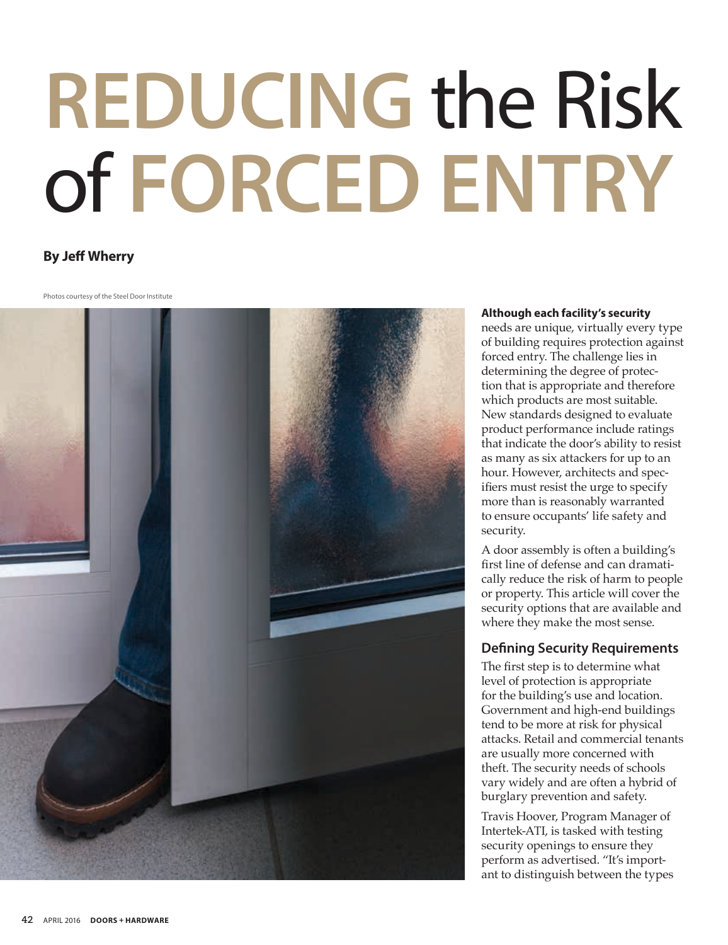# **Reducing** the Risk of **Forced Entry**

# **By Jeff Wherry**

Photos courtesy of the Steel Door Institute



### **Although each facility's security**

needs are unique, virtually every type of building requires protection against forced entry. The challenge lies in determining the degree of protection that is appropriate and therefore which products are most suitable. New standards designed to evaluate product performance include ratings that indicate the door's ability to resist as many as six attackers for up to an hour. However, architects and specifiers must resist the urge to specify more than is reasonably warranted to ensure occupants' life safety and security.

A door assembly is often a building's first line of defense and can dramatically reduce the risk of harm to people or property. This article will cover the security options that are available and where they make the most sense.

# **Defining Security Requirements**

The first step is to determine what level of protection is appropriate for the building's use and location. Government and high-end buildings tend to be more at risk for physical attacks. Retail and commercial tenants are usually more concerned with theft. The security needs of schools vary widely and are often a hybrid of burglary prevention and safety.

Travis Hoover, Program Manager of Intertek-ATI, is tasked with testing security openings to ensure they perform as advertised. "It's important to distinguish between the types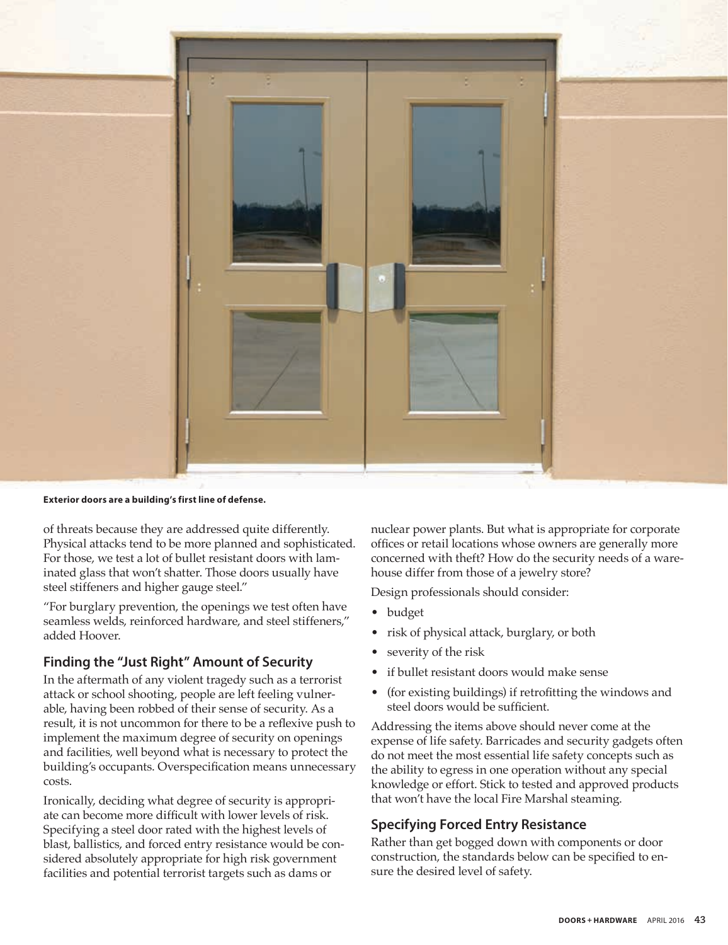

**Exterior doors are a building's first line of defense.**

of threats because they are addressed quite differently. Physical attacks tend to be more planned and sophisticated. For those, we test a lot of bullet resistant doors with laminated glass that won't shatter. Those doors usually have steel stiffeners and higher gauge steel."

"For burglary prevention, the openings we test often have seamless welds, reinforced hardware, and steel stiffeners," added Hoover.

# **Finding the "Just Right" Amount of Security**

In the aftermath of any violent tragedy such as a terrorist attack or school shooting, people are left feeling vulnerable, having been robbed of their sense of security. As a result, it is not uncommon for there to be a reflexive push to implement the maximum degree of security on openings and facilities, well beyond what is necessary to protect the building's occupants. Overspecification means unnecessary costs.

Ironically, deciding what degree of security is appropriate can become more difficult with lower levels of risk. Specifying a steel door rated with the highest levels of blast, ballistics, and forced entry resistance would be considered absolutely appropriate for high risk government facilities and potential terrorist targets such as dams or

nuclear power plants. But what is appropriate for corporate offices or retail locations whose owners are generally more concerned with theft? How do the security needs of a warehouse differ from those of a jewelry store?

Design professionals should consider:

- budget
- risk of physical attack, burglary, or both
- severity of the risk
- if bullet resistant doors would make sense
- (for existing buildings) if retrofitting the windows and steel doors would be sufficient.

Addressing the items above should never come at the expense of life safety. Barricades and security gadgets often do not meet the most essential life safety concepts such as the ability to egress in one operation without any special knowledge or effort. Stick to tested and approved products that won't have the local Fire Marshal steaming.

# **Specifying Forced Entry Resistance**

Rather than get bogged down with components or door construction, the standards below can be specified to ensure the desired level of safety.